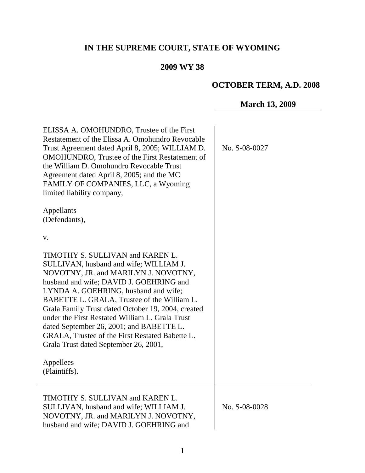# **IN THE SUPREME COURT, STATE OF WYOMING**

## **2009 WY 38**

# **OCTOBER TERM, A.D. 2008**

**March 13, 2009**

| ELISSA A. OMOHUNDRO, Trustee of the First<br>Restatement of the Elissa A. Omohundro Revocable<br>Trust Agreement dated April 8, 2005; WILLIAM D.<br><b>OMOHUNDRO</b> , Trustee of the First Restatement of<br>the William D. Omohundro Revocable Trust<br>Agreement dated April 8, 2005; and the MC<br>FAMILY OF COMPANIES, LLC, a Wyoming<br>limited liability company,<br>Appellants                                                                                                                                       | No. S-08-0027 |
|------------------------------------------------------------------------------------------------------------------------------------------------------------------------------------------------------------------------------------------------------------------------------------------------------------------------------------------------------------------------------------------------------------------------------------------------------------------------------------------------------------------------------|---------------|
| (Defendants),<br>V.<br>TIMOTHY S. SULLIVAN and KAREN L.<br>SULLIVAN, husband and wife; WILLIAM J.<br>NOVOTNY, JR. and MARILYN J. NOVOTNY,<br>husband and wife; DAVID J. GOEHRING and<br>LYNDA A. GOEHRING, husband and wife;<br>BABETTE L. GRALA, Trustee of the William L.<br>Grala Family Trust dated October 19, 2004, created<br>under the First Restated William L. Grala Trust<br>dated September 26, 2001; and BABETTE L.<br>GRALA, Trustee of the First Restated Babette L.<br>Grala Trust dated September 26, 2001, |               |
| Appellees<br>(Plaintiffs).                                                                                                                                                                                                                                                                                                                                                                                                                                                                                                   |               |
| TIMOTHY S. SULLIVAN and KAREN L.<br>SULLIVAN, husband and wife; WILLIAM J.<br>NOVOTNY, JR. and MARILYN J. NOVOTNY,<br>husband and wife; DAVID J. GOEHRING and                                                                                                                                                                                                                                                                                                                                                                | No. S-08-0028 |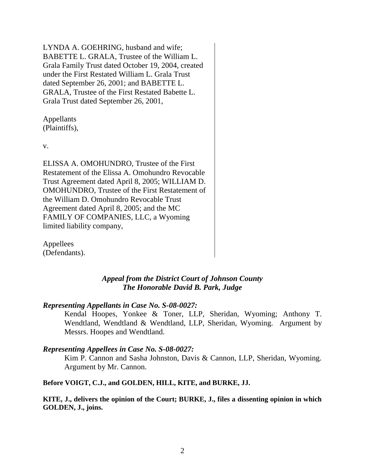LYNDA A. GOEHRING, husband and wife; BABETTE L. GRALA, Trustee of the William L. Grala Family Trust dated October 19, 2004, created under the First Restated William L. Grala Trust dated September 26, 2001; and BABETTE L. GRALA, Trustee of the First Restated Babette L. Grala Trust dated September 26, 2001,

Appellants (Plaintiffs),

v.

ELISSA A. OMOHUNDRO, Trustee of the First Restatement of the Elissa A. Omohundro Revocable Trust Agreement dated April 8, 2005; WILLIAM D. OMOHUNDRO, Trustee of the First Restatement of the William D. Omohundro Revocable Trust Agreement dated April 8, 2005; and the MC FAMILY OF COMPANIES, LLC, a Wyoming limited liability company,

Appellees (Defendants).

## *Appeal from the District Court of Johnson County The Honorable David B. Park, Judge*

#### *Representing Appellants in Case No. S-08-0027:*

Kendal Hoopes, Yonkee & Toner, LLP, Sheridan, Wyoming; Anthony T. Wendtland, Wendtland & Wendtland, LLP, Sheridan, Wyoming. Argument by Messrs. Hoopes and Wendtland.

#### *Representing Appellees in Case No. S-08-0027:*

Kim P. Cannon and Sasha Johnston, Davis & Cannon, LLP, Sheridan, Wyoming. Argument by Mr. Cannon.

**Before VOIGT, C.J., and GOLDEN, HILL, KITE, and BURKE, JJ.**

**KITE, J., delivers the opinion of the Court; BURKE, J., files a dissenting opinion in which GOLDEN, J., joins.**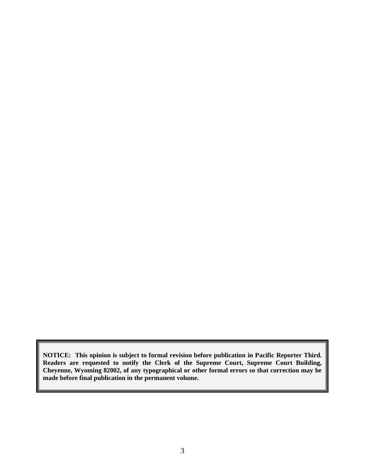**NOTICE: This opinion is subject to formal revision before publication in Pacific Reporter Third. Readers are requested to notify the Clerk of the Supreme Court, Supreme Court Building, Cheyenne, Wyoming 82002, of any typographical or other formal errors so that correction may be made before final publication in the permanent volume.**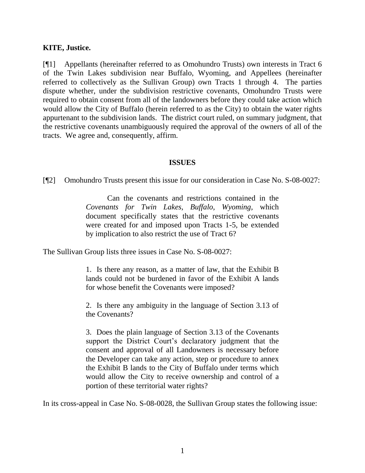#### **KITE, Justice.**

[¶1] Appellants (hereinafter referred to as Omohundro Trusts) own interests in Tract 6 of the Twin Lakes subdivision near Buffalo, Wyoming, and Appellees (hereinafter referred to collectively as the Sullivan Group) own Tracts 1 through 4. The parties dispute whether, under the subdivision restrictive covenants, Omohundro Trusts were required to obtain consent from all of the landowners before they could take action which would allow the City of Buffalo (herein referred to as the City) to obtain the water rights appurtenant to the subdivision lands. The district court ruled, on summary judgment, that the restrictive covenants unambiguously required the approval of the owners of all of the tracts. We agree and, consequently, affirm.

#### **ISSUES**

[¶2] Omohundro Trusts present this issue for our consideration in Case No. S-08-0027:

Can the covenants and restrictions contained in the *Covenants for Twin Lakes, Buffalo, Wyoming,* which document specifically states that the restrictive covenants were created for and imposed upon Tracts 1-5, be extended by implication to also restrict the use of Tract 6?

The Sullivan Group lists three issues in Case No. S-08-0027:

1. Is there any reason, as a matter of law, that the Exhibit B lands could not be burdened in favor of the Exhibit A lands for whose benefit the Covenants were imposed?

2. Is there any ambiguity in the language of Section 3.13 of the Covenants?

3. Does the plain language of Section 3.13 of the Covenants support the District Court's declaratory judgment that the consent and approval of all Landowners is necessary before the Developer can take any action, step or procedure to annex the Exhibit B lands to the City of Buffalo under terms which would allow the City to receive ownership and control of a portion of these territorial water rights?

In its cross-appeal in Case No. S-08-0028, the Sullivan Group states the following issue: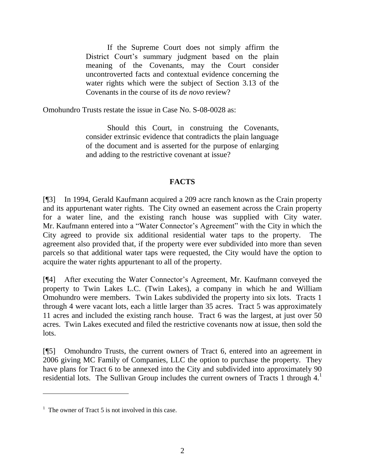If the Supreme Court does not simply affirm the District Court's summary judgment based on the plain meaning of the Covenants, may the Court consider uncontroverted facts and contextual evidence concerning the water rights which were the subject of Section 3.13 of the Covenants in the course of its *de novo* review?

Omohundro Trusts restate the issue in Case No. S-08-0028 as:

Should this Court, in construing the Covenants, consider extrinsic evidence that contradicts the plain language of the document and is asserted for the purpose of enlarging and adding to the restrictive covenant at issue?

#### **FACTS**

[¶3] In 1994, Gerald Kaufmann acquired a 209 acre ranch known as the Crain property and its appurtenant water rights. The City owned an easement across the Crain property for a water line, and the existing ranch house was supplied with City water. Mr. Kaufmann entered into a "Water Connector's Agreement" with the City in which the City agreed to provide six additional residential water taps to the property. agreement also provided that, if the property were ever subdivided into more than seven parcels so that additional water taps were requested, the City would have the option to acquire the water rights appurtenant to all of the property.

[¶4] After executing the Water Connector"s Agreement, Mr. Kaufmann conveyed the property to Twin Lakes L.C. (Twin Lakes), a company in which he and William Omohundro were members. Twin Lakes subdivided the property into six lots. Tracts 1 through 4 were vacant lots, each a little larger than 35 acres. Tract 5 was approximately 11 acres and included the existing ranch house. Tract 6 was the largest, at just over 50 acres. Twin Lakes executed and filed the restrictive covenants now at issue, then sold the lots.

[¶5] Omohundro Trusts, the current owners of Tract 6, entered into an agreement in 2006 giving MC Family of Companies, LLC the option to purchase the property. They have plans for Tract 6 to be annexed into the City and subdivided into approximately 90 residential lots. The Sullivan Group includes the current owners of Tracts 1 through  $4<sup>1</sup>$ 

 $<sup>1</sup>$  The owner of Tract 5 is not involved in this case.</sup>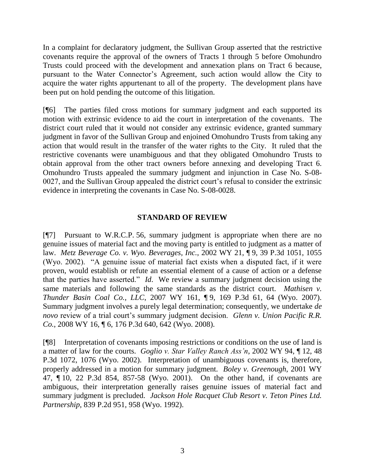In a complaint for declaratory judgment, the Sullivan Group asserted that the restrictive covenants require the approval of the owners of Tracts 1 through 5 before Omohundro Trusts could proceed with the development and annexation plans on Tract 6 because, pursuant to the Water Connector"s Agreement, such action would allow the City to acquire the water rights appurtenant to all of the property. The development plans have been put on hold pending the outcome of this litigation.

[¶6] The parties filed cross motions for summary judgment and each supported its motion with extrinsic evidence to aid the court in interpretation of the covenants. The district court ruled that it would not consider any extrinsic evidence, granted summary judgment in favor of the Sullivan Group and enjoined Omohundro Trusts from taking any action that would result in the transfer of the water rights to the City. It ruled that the restrictive covenants were unambiguous and that they obligated Omohundro Trusts to obtain approval from the other tract owners before annexing and developing Tract 6. Omohundro Trusts appealed the summary judgment and injunction in Case No. S-08- 0027, and the Sullivan Group appealed the district court"s refusal to consider the extrinsic evidence in interpreting the covenants in Case No. S-08-0028.

#### **STANDARD OF REVIEW**

[¶7] Pursuant to W.R.C.P. 56, summary judgment is appropriate when there are no genuine issues of material fact and the moving party is entitled to judgment as a matter of law. *Metz Beverage Co. v. Wyo. Beverages, Inc.*, 2002 WY 21, ¶ 9, 39 P.3d 1051, 1055 (Wyo. 2002). "A genuine issue of material fact exists when a disputed fact, if it were proven, would establish or refute an essential element of a cause of action or a defense that the parties have asserted." *Id*. We review a summary judgment decision using the same materials and following the same standards as the district court. *Mathisen v. Thunder Basin Coal Co., LLC*, 2007 WY 161, ¶ 9, 169 P.3d 61, 64 (Wyo. 2007). Summary judgment involves a purely legal determination; consequently, we undertake *de novo* review of a trial court's summary judgment decision. *Glenn v. Union Pacific R.R. Co.*, 2008 WY 16, ¶ 6, 176 P.3d 640, 642 (Wyo. 2008).

[¶8] Interpretation of covenants imposing restrictions or conditions on the use of land is a matter of law for the courts. *Goglio v. Star Valley Ranch Ass'n*, 2002 WY 94, ¶ 12, 48 P.3d 1072, 1076 (Wyo. 2002). Interpretation of unambiguous covenants is, therefore, properly addressed in a motion for summary judgment. *Boley v. Greenough*, 2001 WY 47, ¶ 10, 22 P.3d 854, 857-58 (Wyo. 2001). On the other hand, if covenants are ambiguous, their interpretation generally raises genuine issues of material fact and summary judgment is precluded. *Jackson Hole Racquet Club Resort v. Teton Pines Ltd. Partnership*, 839 P.2d 951, 958 (Wyo. 1992).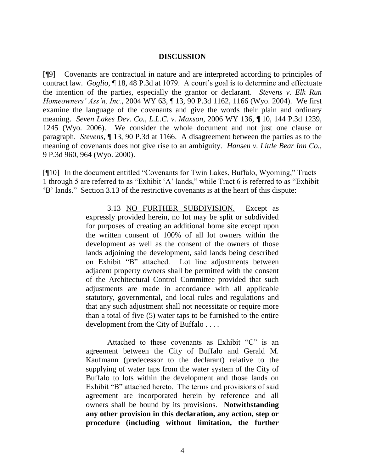#### **DISCUSSION**

[¶9] Covenants are contractual in nature and are interpreted according to principles of contract law. *Goglio*, ¶ 18, 48 P.3d at 1079. A court"s goal is to determine and effectuate the intention of the parties, especially the grantor or declarant. *Stevens v. Elk Run Homeowners' Ass'n, Inc.*, 2004 WY 63, ¶ 13, 90 P.3d 1162, 1166 (Wyo. 2004). We first examine the language of the covenants and give the words their plain and ordinary meaning. *Seven Lakes Dev. Co., L.L.C. v. Maxson*, 2006 WY 136, ¶ 10, 144 P.3d 1239, 1245 (Wyo. 2006). We consider the whole document and not just one clause or paragraph. *Stevens,* ¶ 13, 90 P.3d at 1166. A disagreement between the parties as to the meaning of covenants does not give rise to an ambiguity. *Hansen v. Little Bear Inn Co.,*  9 P.3d 960, 964 (Wyo. 2000).

[¶10] In the document entitled "Covenants for Twin Lakes, Buffalo, Wyoming," Tracts 1 through 5 are referred to as "Exhibit "A" lands," while Tract 6 is referred to as "Exhibit "B" lands." Section 3.13 of the restrictive covenants is at the heart of this dispute:

> 3.13 NO FURTHER SUBDIVISION. Except as expressly provided herein, no lot may be split or subdivided for purposes of creating an additional home site except upon the written consent of 100% of all lot owners within the development as well as the consent of the owners of those lands adjoining the development, said lands being described on Exhibit "B" attached. Lot line adjustments between adjacent property owners shall be permitted with the consent of the Architectural Control Committee provided that such adjustments are made in accordance with all applicable statutory, governmental, and local rules and regulations and that any such adjustment shall not necessitate or require more than a total of five (5) water taps to be furnished to the entire development from the City of Buffalo . . . .

> Attached to these covenants as Exhibit "C" is an agreement between the City of Buffalo and Gerald M. Kaufmann (predecessor to the declarant) relative to the supplying of water taps from the water system of the City of Buffalo to lots within the development and those lands on Exhibit "B" attached hereto. The terms and provisions of said agreement are incorporated herein by reference and all owners shall be bound by its provisions. **Notwithstanding any other provision in this declaration, any action, step or procedure (including without limitation, the further**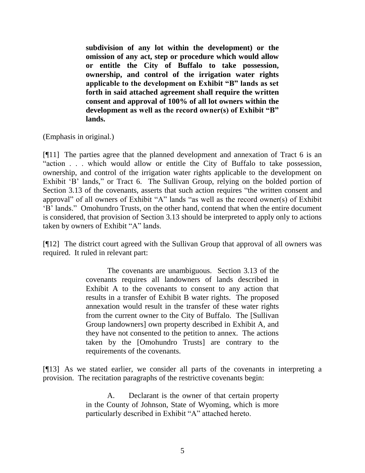**subdivision of any lot within the development) or the omission of any act, step or procedure which would allow or entitle the City of Buffalo to take possession, ownership, and control of the irrigation water rights applicable to the development on Exhibit "B" lands as set forth in said attached agreement shall require the written consent and approval of 100% of all lot owners within the development as well as the record owner(s) of Exhibit "B" lands.**

(Emphasis in original.)

[¶11] The parties agree that the planned development and annexation of Tract 6 is an "action . . . which would allow or entitle the City of Buffalo to take possession, ownership, and control of the irrigation water rights applicable to the development on Exhibit 'B' lands," or Tract 6. The Sullivan Group, relying on the bolded portion of Section 3.13 of the covenants, asserts that such action requires "the written consent and approval" of all owners of Exhibit "A" lands "as well as the record owner(s) of Exhibit "B" lands." Omohundro Trusts, on the other hand, contend that when the entire document is considered, that provision of Section 3.13 should be interpreted to apply only to actions taken by owners of Exhibit "A" lands.

[¶12] The district court agreed with the Sullivan Group that approval of all owners was required. It ruled in relevant part:

> The covenants are unambiguous. Section 3.13 of the covenants requires all landowners of lands described in Exhibit A to the covenants to consent to any action that results in a transfer of Exhibit B water rights. The proposed annexation would result in the transfer of these water rights from the current owner to the City of Buffalo. The [Sullivan Group landowners] own property described in Exhibit A, and they have not consented to the petition to annex. The actions taken by the [Omohundro Trusts] are contrary to the requirements of the covenants.

[¶13] As we stated earlier, we consider all parts of the covenants in interpreting a provision. The recitation paragraphs of the restrictive covenants begin:

> A. Declarant is the owner of that certain property in the County of Johnson, State of Wyoming, which is more particularly described in Exhibit "A" attached hereto.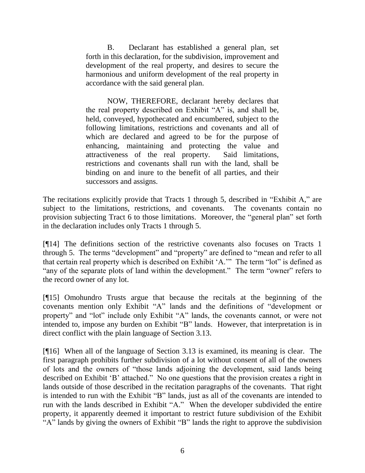B. Declarant has established a general plan, set forth in this declaration, for the subdivision, improvement and development of the real property, and desires to secure the harmonious and uniform development of the real property in accordance with the said general plan.

NOW, THEREFORE, declarant hereby declares that the real property described on Exhibit "A" is, and shall be, held, conveyed, hypothecated and encumbered, subject to the following limitations, restrictions and covenants and all of which are declared and agreed to be for the purpose of enhancing, maintaining and protecting the value and attractiveness of the real property. Said limitations, restrictions and covenants shall run with the land, shall be binding on and inure to the benefit of all parties, and their successors and assigns.

The recitations explicitly provide that Tracts 1 through 5, described in "Exhibit A," are subject to the limitations, restrictions, and covenants. The covenants contain no provision subjecting Tract 6 to those limitations. Moreover, the "general plan" set forth in the declaration includes only Tracts 1 through 5.

[¶14] The definitions section of the restrictive covenants also focuses on Tracts 1 through 5. The terms "development" and "property" are defined to "mean and refer to all that certain real property which is described on Exhibit "A."" The term "lot" is defined as "any of the separate plots of land within the development." The term "owner" refers to the record owner of any lot.

[¶15] Omohundro Trusts argue that because the recitals at the beginning of the covenants mention only Exhibit "A" lands and the definitions of "development or property" and "lot" include only Exhibit "A" lands, the covenants cannot, or were not intended to, impose any burden on Exhibit "B" lands. However, that interpretation is in direct conflict with the plain language of Section 3.13.

[¶16] When all of the language of Section 3.13 is examined, its meaning is clear. The first paragraph prohibits further subdivision of a lot without consent of all of the owners of lots and the owners of "those lands adjoining the development, said lands being described on Exhibit "B" attached." No one questions that the provision creates a right in lands outside of those described in the recitation paragraphs of the covenants. That right is intended to run with the Exhibit "B" lands, just as all of the covenants are intended to run with the lands described in Exhibit "A." When the developer subdivided the entire property, it apparently deemed it important to restrict future subdivision of the Exhibit "A" lands by giving the owners of Exhibit "B" lands the right to approve the subdivision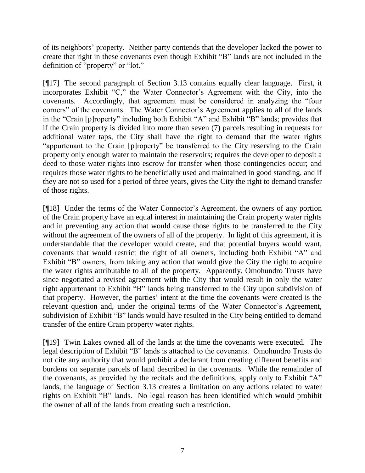of its neighbors" property. Neither party contends that the developer lacked the power to create that right in these covenants even though Exhibit "B" lands are not included in the definition of "property" or "lot."

[¶17] The second paragraph of Section 3.13 contains equally clear language. First, it incorporates Exhibit "C," the Water Connector's Agreement with the City, into the covenants. Accordingly, that agreement must be considered in analyzing the "four corners" of the covenants. The Water Connector's Agreement applies to all of the lands in the "Crain [p]roperty" including both Exhibit "A" and Exhibit "B" lands; provides that if the Crain property is divided into more than seven (7) parcels resulting in requests for additional water taps, the City shall have the right to demand that the water rights "appurtenant to the Crain [p]roperty" be transferred to the City reserving to the Crain property only enough water to maintain the reservoirs; requires the developer to deposit a deed to those water rights into escrow for transfer when those contingencies occur; and requires those water rights to be beneficially used and maintained in good standing, and if they are not so used for a period of three years, gives the City the right to demand transfer of those rights.

[¶18] Under the terms of the Water Connector"s Agreement, the owners of any portion of the Crain property have an equal interest in maintaining the Crain property water rights and in preventing any action that would cause those rights to be transferred to the City without the agreement of the owners of all of the property. In light of this agreement, it is understandable that the developer would create, and that potential buyers would want, covenants that would restrict the right of all owners, including both Exhibit "A" and Exhibit "B" owners, from taking any action that would give the City the right to acquire the water rights attributable to all of the property. Apparently, Omohundro Trusts have since negotiated a revised agreement with the City that would result in only the water right appurtenant to Exhibit "B" lands being transferred to the City upon subdivision of that property. However, the parties" intent at the time the covenants were created is the relevant question and, under the original terms of the Water Connector's Agreement, subdivision of Exhibit "B" lands would have resulted in the City being entitled to demand transfer of the entire Crain property water rights.

[¶19] Twin Lakes owned all of the lands at the time the covenants were executed. The legal description of Exhibit "B" lands is attached to the covenants. Omohundro Trusts do not cite any authority that would prohibit a declarant from creating different benefits and burdens on separate parcels of land described in the covenants. While the remainder of the covenants, as provided by the recitals and the definitions, apply only to Exhibit "A" lands, the language of Section 3.13 creates a limitation on any actions related to water rights on Exhibit "B" lands. No legal reason has been identified which would prohibit the owner of all of the lands from creating such a restriction.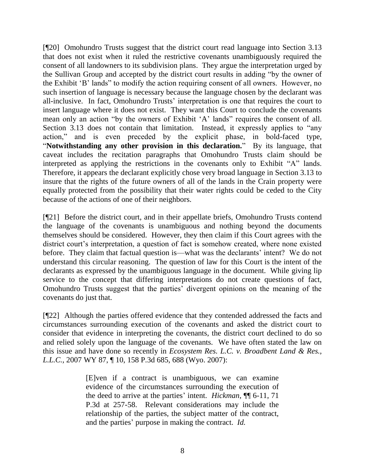[¶20] Omohundro Trusts suggest that the district court read language into Section 3.13 that does not exist when it ruled the restrictive covenants unambiguously required the consent of all landowners to its subdivision plans. They argue the interpretation urged by the Sullivan Group and accepted by the district court results in adding "by the owner of the Exhibit "B" lands" to modify the action requiring consent of all owners. However, no such insertion of language is necessary because the language chosen by the declarant was all-inclusive. In fact, Omohundro Trusts' interpretation is one that requires the court to insert language where it does not exist. They want this Court to conclude the covenants mean only an action "by the owners of Exhibit "A" lands" requires the consent of all. Section 3.13 does not contain that limitation. Instead, it expressly applies to "any action," and is even preceded by the explicit phase, in bold-faced type, "**Notwithstanding any other provision in this declaration.**" By its language, that caveat includes the recitation paragraphs that Omohundro Trusts claim should be interpreted as applying the restrictions in the covenants only to Exhibit "A" lands. Therefore, it appears the declarant explicitly chose very broad language in Section 3.13 to insure that the rights of the future owners of all of the lands in the Crain property were equally protected from the possibility that their water rights could be ceded to the City because of the actions of one of their neighbors.

[¶21] Before the district court, and in their appellate briefs, Omohundro Trusts contend the language of the covenants is unambiguous and nothing beyond the documents themselves should be considered. However, they then claim if this Court agrees with the district court's interpretation, a question of fact is somehow created, where none existed before. They claim that factual question is—what was the declarants' intent? We do not understand this circular reasoning. The question of law for this Court is the intent of the declarants as expressed by the unambiguous language in the document. While giving lip service to the concept that differing interpretations do not create questions of fact, Omohundro Trusts suggest that the parties" divergent opinions on the meaning of the covenants do just that.

[¶22] Although the parties offered evidence that they contended addressed the facts and circumstances surrounding execution of the covenants and asked the district court to consider that evidence in interpreting the covenants, the district court declined to do so and relied solely upon the language of the covenants. We have often stated the law on this issue and have done so recently in *Ecosystem Res. L.C. v. Broadbent Land & Res., L.L.C.,* 2007 WY 87, ¶ 10, 158 P.3d 685, 688 (Wyo. 2007):

> [E]ven if a contract is unambiguous, we can examine evidence of the circumstances surrounding the execution of the deed to arrive at the parties" intent. *Hickman*, ¶¶ 6-11, 71 P.3d at 257-58. Relevant considerations may include the relationship of the parties, the subject matter of the contract, and the parties' purpose in making the contract. *Id.*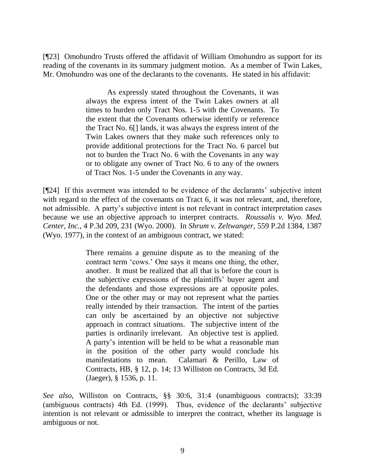[¶23] Omohundro Trusts offered the affidavit of William Omohundro as support for its reading of the covenants in its summary judgment motion. As a member of Twin Lakes, Mr. Omohundro was one of the declarants to the covenants. He stated in his affidavit:

> As expressly stated throughout the Covenants, it was always the express intent of the Twin Lakes owners at all times to burden only Tract Nos. 1-5 with the Covenants. To the extent that the Covenants otherwise identify or reference the Tract No. 6[] lands, it was always the express intent of the Twin Lakes owners that they make such references only to provide additional protections for the Tract No. 6 parcel but not to burden the Tract No. 6 with the Covenants in any way or to obligate any owner of Tract No. 6 to any of the owners of Tract Nos. 1-5 under the Covenants in any way.

[¶24] If this averment was intended to be evidence of the declarants" subjective intent with regard to the effect of the covenants on Tract 6, it was not relevant, and, therefore, not admissible. A party's subjective intent is not relevant in contract interpretation cases because we use an objective approach to interpret contracts. *Roussalis v. Wyo. Med. Center, Inc.,* 4 P.3d 209, 231 (Wyo. 2000). In *Shrum v. Zeltwanger*, 559 P.2d 1384, 1387 (Wyo. 1977), in the context of an ambiguous contract, we stated:

> There remains a genuine dispute as to the meaning of the contract term "cows." One says it means one thing, the other, another. It must be realized that all that is before the court is the subjective expressions of the plaintiffs" buyer agent and the defendants and those expressions are at opposite poles. One or the other may or may not represent what the parties really intended by their transaction. The intent of the parties can only be ascertained by an objective not subjective approach in contract situations. The subjective intent of the parties is ordinarily irrelevant. An objective test is applied. A party"s intention will be held to be what a reasonable man in the position of the other party would conclude his manifestations to mean. Calamari & Perillo, Law of Contracts, HB, § 12, p. 14; 13 Williston on Contracts, 3d Ed. (Jaeger), § 1536, p. 11.

*See also*, Williston on Contracts, §§ 30:6, 31:4 (unambiguous contracts); 33:39 (ambiguous contracts) 4th Ed. (1999). Thus, evidence of the declarants" subjective intention is not relevant or admissible to interpret the contract, whether its language is ambiguous or not.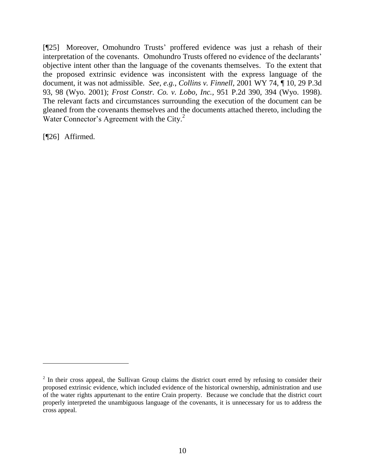[¶25] Moreover, Omohundro Trusts" proffered evidence was just a rehash of their interpretation of the covenants. Omohundro Trusts offered no evidence of the declarants' objective intent other than the language of the covenants themselves. To the extent that the proposed extrinsic evidence was inconsistent with the express language of the document, it was not admissible. *See, e.g.*, *Collins v. Finnell,* 2001 WY 74, ¶ 10, 29 P.3d 93, 98 (Wyo. 2001); *Frost Constr. Co. v. Lobo, Inc.,* 951 P.2d 390, 394 (Wyo. 1998). The relevant facts and circumstances surrounding the execution of the document can be gleaned from the covenants themselves and the documents attached thereto, including the Water Connector's Agreement with the City. $2$ 

[¶26] Affirmed.

 $2$  In their cross appeal, the Sullivan Group claims the district court erred by refusing to consider their proposed extrinsic evidence, which included evidence of the historical ownership, administration and use of the water rights appurtenant to the entire Crain property. Because we conclude that the district court properly interpreted the unambiguous language of the covenants, it is unnecessary for us to address the cross appeal.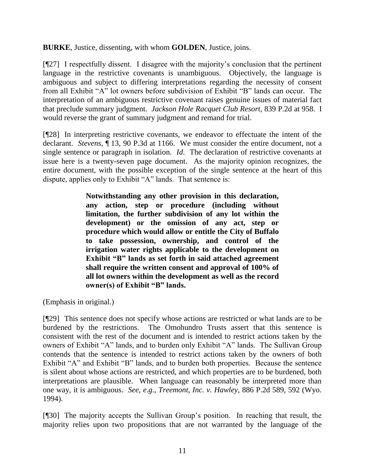**BURKE**, Justice, dissenting, with whom **GOLDEN**, Justice, joins.

[¶27] I respectfully dissent. I disagree with the majority"s conclusion that the pertinent language in the restrictive covenants is unambiguous. Objectively, the language is ambiguous and subject to differing interpretations regarding the necessity of consent from all Exhibit "A" lot owners before subdivision of Exhibit "B" lands can occur. The interpretation of an ambiguous restrictive covenant raises genuine issues of material fact that preclude summary judgment. *Jackson Hole Racquet Club Resort*, 839 P.2d at 958. I would reverse the grant of summary judgment and remand for trial.

[¶28] In interpreting restrictive covenants, we endeavor to effectuate the intent of the declarant. *Stevens*, ¶ 13, 90 P.3d at 1166. We must consider the entire document, not a single sentence or paragraph in isolation. *Id*. The declaration of restrictive covenants at issue here is a twenty-seven page document. As the majority opinion recognizes, the entire document, with the possible exception of the single sentence at the heart of this dispute, applies only to Exhibit "A" lands. That sentence is:

> **Notwithstanding any other provision in this declaration, any action, step or procedure (including without limitation, the further subdivision of any lot within the development) or the omission of any act, step or procedure which would allow or entitle the City of Buffalo to take possession, ownership, and control of the irrigation water rights applicable to the development on Exhibit "B" lands as set forth in said attached agreement shall require the written consent and approval of 100% of all lot owners within the development as well as the record owner(s) of Exhibit "B" lands.**

(Emphasis in original.)

[¶29] This sentence does not specify whose actions are restricted or what lands are to be burdened by the restrictions. The Omohundro Trusts assert that this sentence is consistent with the rest of the document and is intended to restrict actions taken by the owners of Exhibit "A" lands, and to burden only Exhibit "A" lands. The Sullivan Group contends that the sentence is intended to restrict actions taken by the owners of both Exhibit "A" and Exhibit "B" lands, and to burden both properties. Because the sentence is silent about whose actions are restricted, and which properties are to be burdened, both interpretations are plausible. When language can reasonably be interpreted more than one way, it is ambiguous. *See*, *e*.*g*., *Treemont, Inc. v. Hawley*, 886 P.2d 589, 592 (Wyo. 1994).

[¶30] The majority accepts the Sullivan Group"s position. In reaching that result, the majority relies upon two propositions that are not warranted by the language of the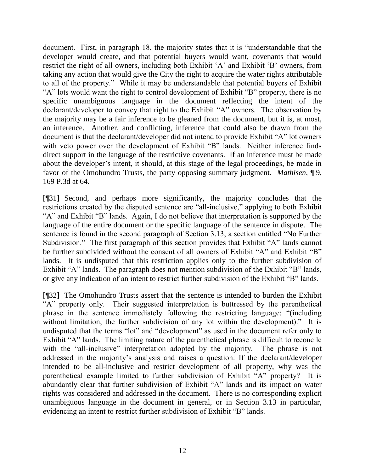document. First, in paragraph 18, the majority states that it is "understandable that the developer would create, and that potential buyers would want, covenants that would restrict the right of all owners, including both Exhibit "A" and Exhibit "B" owners, from taking any action that would give the City the right to acquire the water rights attributable to all of the property." While it may be understandable that potential buyers of Exhibit "A" lots would want the right to control development of Exhibit "B" property, there is no specific unambiguous language in the document reflecting the intent of the declarant/developer to convey that right to the Exhibit "A" owners. The observation by the majority may be a fair inference to be gleaned from the document, but it is, at most, an inference. Another, and conflicting, inference that could also be drawn from the document is that the declarant/developer did not intend to provide Exhibit "A" lot owners with veto power over the development of Exhibit "B" lands. Neither inference finds direct support in the language of the restrictive covenants. If an inference must be made about the developer"s intent, it should, at this stage of the legal proceedings, be made in favor of the Omohundro Trusts, the party opposing summary judgment. *Mathisen*, ¶ 9, 169 P.3d at 64.

[¶31] Second, and perhaps more significantly, the majority concludes that the restrictions created by the disputed sentence are "all-inclusive," applying to both Exhibit "A" and Exhibit "B" lands. Again, I do not believe that interpretation is supported by the language of the entire document or the specific language of the sentence in dispute. The sentence is found in the second paragraph of Section 3.13, a section entitled "No Further Subdivision." The first paragraph of this section provides that Exhibit "A" lands cannot be further subdivided without the consent of all owners of Exhibit "A" and Exhibit "B" lands. It is undisputed that this restriction applies only to the further subdivision of Exhibit "A" lands. The paragraph does not mention subdivision of the Exhibit "B" lands, or give any indication of an intent to restrict further subdivision of the Exhibit "B" lands.

[¶32] The Omohundro Trusts assert that the sentence is intended to burden the Exhibit "A" property only. Their suggested interpretation is buttressed by the parenthetical phrase in the sentence immediately following the restricting language: "(including without limitation, the further subdivision of any lot within the development)." It is undisputed that the terms "lot" and "development" as used in the document refer only to Exhibit "A" lands. The limiting nature of the parenthetical phrase is difficult to reconcile with the "all-inclusive" interpretation adopted by the majority. The phrase is not addressed in the majority's analysis and raises a question: If the declarant/developer intended to be all-inclusive and restrict development of all property, why was the parenthetical example limited to further subdivision of Exhibit "A" property? It is abundantly clear that further subdivision of Exhibit "A" lands and its impact on water rights was considered and addressed in the document. There is no corresponding explicit unambiguous language in the document in general, or in Section 3.13 in particular, evidencing an intent to restrict further subdivision of Exhibit "B" lands.